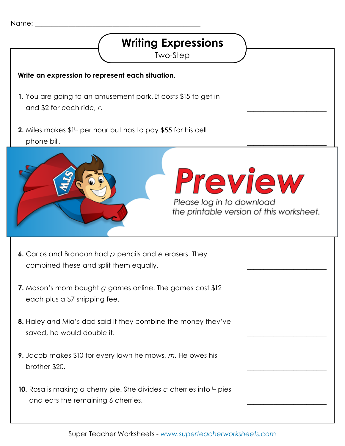## **Writing Expressions**

Two-Step

## **Write an expression to represent each situation.**

- **1.** You are going to an amusement park. It costs \$15 to get in and \$2 for each ride, *r*.
- **2.** Miles makes \$14 per hour but has to pay \$55 for his cell phone bill.





\_\_\_\_\_\_\_\_\_\_\_\_\_\_\_\_\_\_\_\_\_\_\_\_

\_\_\_\_\_\_\_\_\_\_\_\_\_\_\_\_\_\_\_\_\_\_\_\_

\_\_\_\_\_\_\_\_\_\_\_\_\_\_\_\_\_\_\_\_\_\_\_\_

\_\_\_\_\_\_\_\_\_\_\_\_\_\_\_\_\_\_\_\_\_\_\_\_

\_\_\_\_\_\_\_\_\_\_\_\_\_\_\_\_\_\_\_\_\_\_\_\_

\_\_\_\_\_\_\_\_\_\_\_\_\_\_\_\_\_\_\_\_\_\_\_\_

\_\_\_\_\_\_\_\_\_\_\_\_\_\_\_\_\_\_\_\_\_\_\_\_

the printable version of this worksheet.

- **6.** Carlos and Brandon had *p* pencils and *e* erasers. They combined these and split them equally.
- **7.** Mason's mom bought *g* games online. The games cost \$12 each plus a \$7 shipping fee.
- **8.** Haley and Mia's dad said if they combine the money they've saved, he would double it.
- **9.** Jacob makes \$10 for every lawn he mows, *m*. He owes his brother \$20.
- **10.** Rosa is making a cherry pie. She divides *c* cherries into 4 pies and eats the remaining 6 cherries.